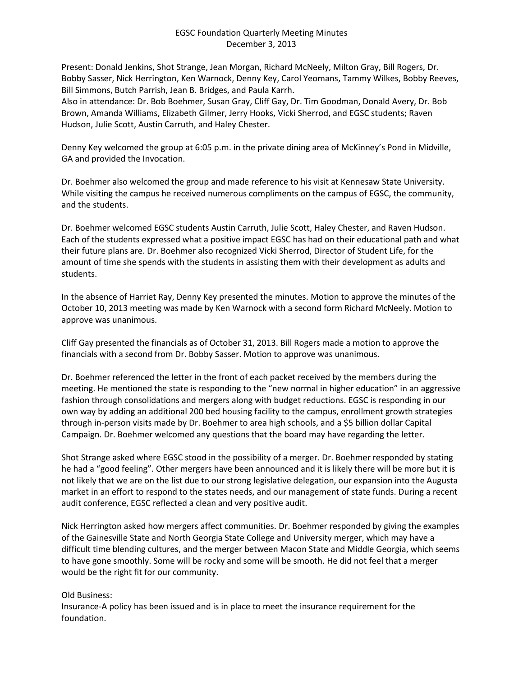## EGSC Foundation Quarterly Meeting Minutes December 3, 2013

Present: Donald Jenkins, Shot Strange, Jean Morgan, Richard McNeely, Milton Gray, Bill Rogers, Dr. Bobby Sasser, Nick Herrington, Ken Warnock, Denny Key, Carol Yeomans, Tammy Wilkes, Bobby Reeves, Bill Simmons, Butch Parrish, Jean B. Bridges, and Paula Karrh.

Also in attendance: Dr. Bob Boehmer, Susan Gray, Cliff Gay, Dr. Tim Goodman, Donald Avery, Dr. Bob Brown, Amanda Williams, Elizabeth Gilmer, Jerry Hooks, Vicki Sherrod, and EGSC students; Raven Hudson, Julie Scott, Austin Carruth, and Haley Chester.

Denny Key welcomed the group at 6:05 p.m. in the private dining area of McKinney's Pond in Midville, GA and provided the Invocation.

Dr. Boehmer also welcomed the group and made reference to his visit at Kennesaw State University. While visiting the campus he received numerous compliments on the campus of EGSC, the community, and the students.

Dr. Boehmer welcomed EGSC students Austin Carruth, Julie Scott, Haley Chester, and Raven Hudson. Each of the students expressed what a positive impact EGSC has had on their educational path and what their future plans are. Dr. Boehmer also recognized Vicki Sherrod, Director of Student Life, for the amount of time she spends with the students in assisting them with their development as adults and students.

In the absence of Harriet Ray, Denny Key presented the minutes. Motion to approve the minutes of the October 10, 2013 meeting was made by Ken Warnock with a second form Richard McNeely. Motion to approve was unanimous.

Cliff Gay presented the financials as of October 31, 2013. Bill Rogers made a motion to approve the financials with a second from Dr. Bobby Sasser. Motion to approve was unanimous.

Dr. Boehmer referenced the letter in the front of each packet received by the members during the meeting. He mentioned the state is responding to the "new normal in higher education" in an aggressive fashion through consolidations and mergers along with budget reductions. EGSC is responding in our own way by adding an additional 200 bed housing facility to the campus, enrollment growth strategies through in-person visits made by Dr. Boehmer to area high schools, and a \$5 billion dollar Capital Campaign. Dr. Boehmer welcomed any questions that the board may have regarding the letter.

Shot Strange asked where EGSC stood in the possibility of a merger. Dr. Boehmer responded by stating he had a "good feeling". Other mergers have been announced and it is likely there will be more but it is not likely that we are on the list due to our strong legislative delegation, our expansion into the Augusta market in an effort to respond to the states needs, and our management of state funds. During a recent audit conference, EGSC reflected a clean and very positive audit.

Nick Herrington asked how mergers affect communities. Dr. Boehmer responded by giving the examples of the Gainesville State and North Georgia State College and University merger, which may have a difficult time blending cultures, and the merger between Macon State and Middle Georgia, which seems to have gone smoothly. Some will be rocky and some will be smooth. He did not feel that a merger would be the right fit for our community.

## Old Business:

Insurance-A policy has been issued and is in place to meet the insurance requirement for the foundation.